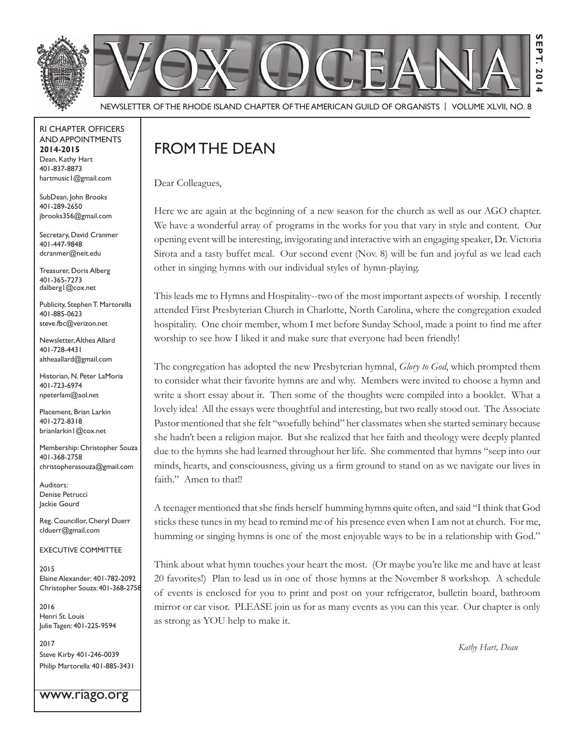

Newsletter of the rhode IslaNd Chapter of the amerICaN GuIld of orGaNIsts | Volume XlVII, No. 8

rI Chapter offICers aNd appoINtmeNts **2014-2015** Dean, Kathy Hart 401-837-8873 hartmusic1@gmail.com

SubDean, John Brooks 401-289-2650 jbrooks356@gmail.com

Secretary, David Cranmer 401-447-9848 dcranmer@neit.edu

Treasurer, Doris Alberg 401-365-7273 dalberg1@cox.net

Publicity, Stephen T. Martorella 401-885-0623 steve.fbc@verizon.net

Newsletter, Althea Allard 401-728-4431 altheaallard@gmail.com

historian, N. peter lamoria 401-723-6974 npeterlam@aol.net

Placement, Brian Larkin 401-272-8318 brianlarkin1@cox.net

Membership: Christopher Souza 401-368-2758 christopherasouza@gmail.com

Auditors: Denise Petrucci Jackie Gourd

Reg. Councillor, Cheryl Duerr clduerr@gmail.com

eXeCutIVe CommIttee

2015 Elaine Alexander: 401-782-2092 Christopher souza: 401-368-2758

2016 Henri St. Louis Julie Tagen: 401-225-9594

2017 steve Kirby 401-246-0039 Philip Martorella 401-885-3431

www.riago.org

## FROM THE DEAN

Dear Colleagues,

Here we are again at the beginning of a new season for the church as well as our AGO chapter. We have a wonderful array of programs in the works for you that vary in style and content. Our opening event will be interesting, invigorating and interactive with an engaging speaker, Dr. Victoria Sirota and a tasty buffet meal. Our second event (Nov. 8) will be fun and joyful as we lead each other in singing hymns with our individual styles of hymn-playing.

This leads me to Hymns and Hospitality--two of the most important aspects of worship. I recently attended First Presbyterian Church in Charlotte, North Carolina, where the congregation exuded hospitality. One choir member, whom I met before Sunday School, made a point to find me after worship to see how I liked it and make sure that everyone had been friendly!

The congregation has adopted the new Presbyterian hymnal, *Glory to God*, which prompted them to consider what their favorite hymns are and why. Members were invited to choose a hymn and write a short essay about it. Then some of the thoughts were compiled into a booklet. What a lovely idea! All the essays were thoughtful and interesting, but two really stood out. The Associate Pastor mentioned that she felt "woefully behind" her classmates when she started seminary because she hadn't been a religion major. But she realized that her faith and theology were deeply planted due to the hymns she had learned throughout her life. She commented that hymns "seep into our minds, hearts, and consciousness, giving us a firm ground to stand on as we navigate our lives in faith." Amen to that!!

A teenager mentioned that she finds herself humming hymns quite often, and said "I think that God sticks these tunes in my head to remind me of his presence even when I am not at church. For me, humming or singing hymns is one of the most enjoyable ways to be in a relationship with God."

Think about what hymn touches your heart the most. (Or maybe you're like me and have at least 20 favorites!) Plan to lead us in one of those hymns at the November 8 workshop. A schedule of events is enclosed for you to print and post on your refrigerator, bulletin board, bathroom mirror or car visor. PLEASE join us for as many events as you can this year. Our chapter is only as strong as YOU help to make it.

*Kathy Hart, Dean*

**Sept. 2014**

**20** 

EPT.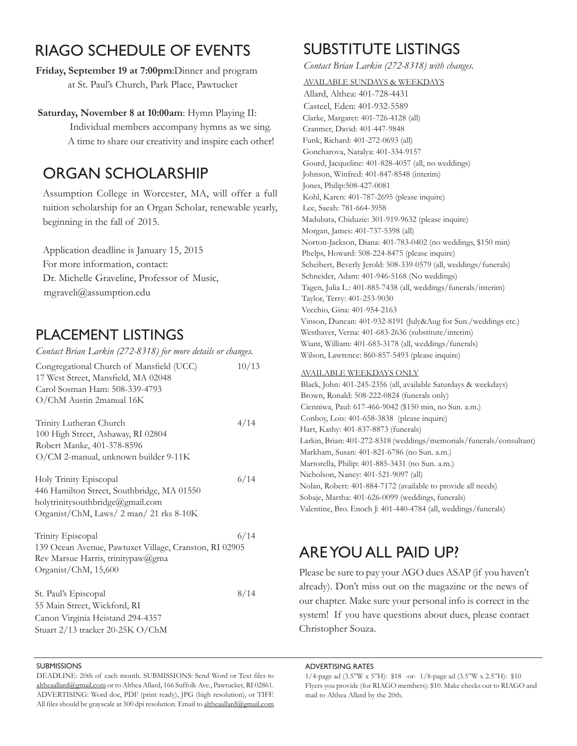## rIaGo sChedule of eVeNts

**Friday, September 19 at 7:00pm**:Dinner and program at St. Paul's Church, Park Place, Pawtucket

#### **Saturday, November 8 at 10:00am**: Hymn Playing II:

 Individual members accompany hymns as we sing. A time to share our creativity and inspire each other!

### orGaN sCholarshIp

Assumption College in Worcester, MA, will offer a full tuition scholarship for an Organ Scholar, renewable yearly, beginning in the fall of 2015.

Application deadline is January 15, 2015 For more information, contact: Dr. Michelle Graveline, Professor of Music, mgraveli@assumption.edu

### plaCemeNt lIstINGs

| Contact Brian Larkin (272-8318) for more details or changes.                                                                                        |       |
|-----------------------------------------------------------------------------------------------------------------------------------------------------|-------|
| Congregational Church of Mansfield (UCC)<br>17 West Street, Mansfield, MA 02048<br>Carol Sosman Ham: 508-339-4793<br>O/ChM Austin 2manual 16K       | 10/13 |
| Trinity Lutheran Church<br>100 High Street, Ashaway, RI 02804<br>Robert Manke, 401-378-8596<br>O/CM 2-manual, unknown builder 9-11K                 | 4/14  |
| Holy Trinity Episcopal<br>446 Hamilton Street, Southbridge, MA 01550<br>holytrinitysouthbridge@gmail.com<br>Organist/ChM, Laws/ 2 man/ 21 rks 8-10K | 6/14  |
| Trinity Episcopal<br>139 Ocean Avenue, Pawtuxet Village, Cranston, RI 02905<br>Rev Marsue Harris, trinitypaw@gma<br>Organist/ChM, 15,600            | 6/14  |
| St. Paul's Episcopal<br>55 Main Street, Wickford, RI<br>Canon Virginia Heistand 294-4357<br>Stuart 2/13 tracker 20-25K O/ChM                        | 8/14  |

#### **SUBMISSIONS**

DEADLINE: 20th of each month. SUBMISSIONS: Send Word or Text files to altheaallard@gmail.com or to Althea Allard, 166 Suffolk Ave., Pawtucket, RI 02861. ADVERTISING: Word doc, PDF (print ready), JPG (high resolution), or TIFF. All files should be grayscale at 300 dpi resolution. Email to altheaallard@gmail.com

# SUBSTITUTE LISTINGS

*Contact Brian Larkin (272-8318) with changes.*

AVAILABLE SUNDAYS & WEEkDAYS

Allard, Althea: 401-728-4431 Casteel, Eden: 401-932-5589 Clarke, Margaret: 401-726-4128 (all) Cranmer, David: 401-447-9848 Funk, Richard: 401-272-0693 (all) Goncharova, Natalya: 401-334-9157 Gourd, Jacqueline: 401-828-4057 (all, no weddings) Johnson, Winfred: 401-847-8548 (interim) Jones, Philip:508-427-0081 Kohl, Karen: 401-787-2695 (please inquire) Lee, Saeah: 781-664-3958 Madubata, Chiduzie: 301-919-9632 (please inquire) Morgan, James: 401-737-5398 (all) Norton-Jackson, Diana: 401-783-0402 (no weddings, \$150 min) Phelps, Howard: 508-224-8475 (please inquire) Scheibert, Beverly Jerold: 508-339-0579 (all, weddings/funerals) Schneider, Adam: 401-946-5168 (No weddings) Tagen, Julia L.: 401-885-7438 (all, weddings/funerals/interim) Taylor, Terry: 401-253-9030 Vecchio, Gina: 401-954-2163 Vinson, Duncan: 401-932-8191 (July&Aug for Sun./weddings etc.) Westhaver, Verna: 401-683-2636 (substitute/interim) Wiant, William: 401-683-3178 (all, weddings/funerals) Wilson, Lawrence: 860-857-5493 (please inquire)

#### AVAILABLE WEEkDAYS ONLY

Black, John: 401-245-2356 (all, available Saturdays & weekdays) Brown, Ronald: 508-222-0824 (funerals only) Cienniwa, Paul: 617-466-9042 (\$150 min, no Sun. a.m.) Conboy, Lois: 401-658-3838 (please inquire) Hart, kathy: 401-837-8873 (funerals) Larkin, Brian: 401-272-8318 (weddings/memorials/funerals/consultant) Markham, Susan: 401-821-6786 (no Sun. a.m.) Martorella, Philip: 401-885-3431 (no Sun. a.m.) Nicholson, Nancy: 401-521-9097 (all) Nolan, Robert: 401-884-7172 (available to provide all needs) Sobaje, Martha: 401-626-0099 (weddings, funerals) Valentine, Bro. Enoch J: 401-440-4784 (all, weddings/funerals)

## are you all paId up?

Please be sure to pay your AGO dues ASAP (if you haven't already). Don't miss out on the magazine or the news of our chapter. Make sure your personal info is correct in the system! If you have questions about dues, please contact Christopher Souza.

adVertIsING rates

1/4-page ad (3.5"W x 5"H): \$18 -or- 1/8-page ad (3.5"W x 2.5"H): \$10 Flyers you provide (for RIAGO members): \$10. Make checks out to RIAGO and mail to Althea Allard by the 20th.